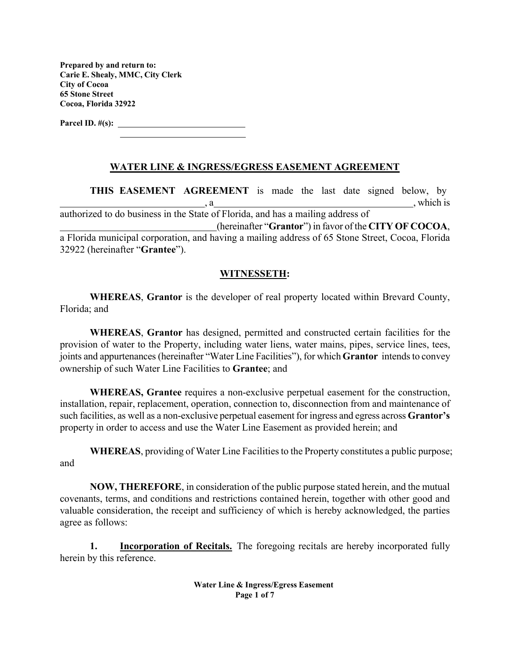**Prepared by and return to: Carie E. Shealy, MMC, City Clerk City of Cocoa 65 Stone Street Cocoa, Florida 32922** 

**Parcel ID. #(s):** 

#### **WATER LINE & INGRESS/EGRESS EASEMENT AGREEMENT**

**THIS EASEMENT AGREEMENT** is made the last date signed below, by , which is authorized to do business in the State of Florida, and has a mailing address of (hereinafter "**Grantor**") in favor of the **CITY OF COCOA**, a Florida municipal corporation, and having a mailing address of 65 Stone Street, Cocoa, Florida 32922 (hereinafter "**Grantee**").

#### **WITNESSETH:**

**WHEREAS**, **Grantor** is the developer of real property located within Brevard County, Florida; and

**WHEREAS**, **Grantor** has designed, permitted and constructed certain facilities for the provision of water to the Property, including water liens, water mains, pipes, service lines, tees, joints and appurtenances (hereinafter "Water Line Facilities"), for which **Grantor** intends to convey ownership of such Water Line Facilities to **Grantee**; and

**WHEREAS, Grantee** requires a non-exclusive perpetual easement for the construction, installation, repair, replacement, operation, connection to, disconnection from and maintenance of such facilities, as well as a non-exclusive perpetual easement for ingress and egress across **Grantor's**  property in order to access and use the Water Line Easement as provided herein; and

**WHEREAS**, providing of Water Line Facilities to the Property constitutes a public purpose; and

**NOW, THEREFORE**, in consideration of the public purpose stated herein, and the mutual covenants, terms, and conditions and restrictions contained herein, together with other good and valuable consideration, the receipt and sufficiency of which is hereby acknowledged, the parties agree as follows:

**1. Incorporation of Recitals.** The foregoing recitals are hereby incorporated fully herein by this reference.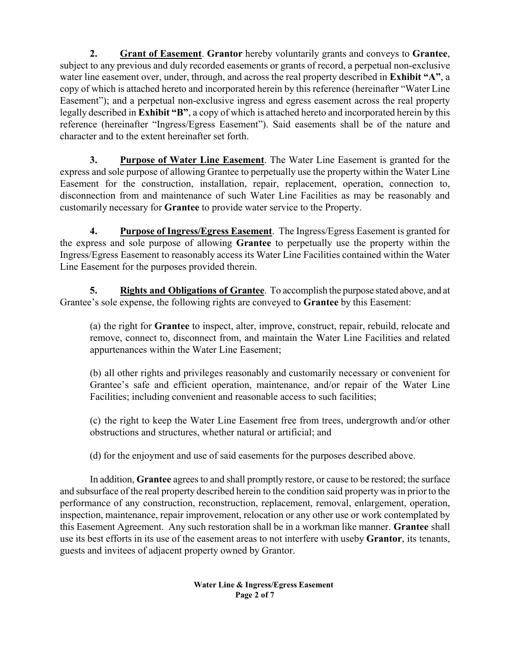**2. Grant of Easement**. **Grantor** hereby voluntarily grants and conveys to **Grantee**, subject to any previous and duly recorded easements or grants of record, a perpetual non-exclusive water line easement over, under, through, and across the real property described in **Exhibit "A"**, a copy of which is attached hereto and incorporated herein by this reference (hereinafter "Water Line Easement"); and a perpetual non-exclusive ingress and egress easement across the real property legally described in **Exhibit "B"**, a copy of which is attached hereto and incorporated herein by this reference (hereinafter "Ingress/Egress Easement"). Said easements shall be of the nature and character and to the extent hereinafter set forth.

**3. Purpose of Water Line Easement**. The Water Line Easement is granted for the express and sole purpose of allowing Grantee to perpetually use the property within the Water Line Easement for the construction, installation, repair, replacement, operation, connection to, disconnection from and maintenance of such Water Line Facilities as may be reasonably and customarily necessary for **Grantee** to provide water service to the Property.

**4. Purpose of Ingress/Egress Easement**. The Ingress/Egress Easement is granted for the express and sole purpose of allowing **Grantee** to perpetually use the property within the Ingress/Egress Easement to reasonably access its Water Line Facilities contained within the Water Line Easement for the purposes provided therein.

**5. Rights and Obligations of Grantee**. To accomplish the purpose stated above, and at Grantee's sole expense, the following rights are conveyed to **Grantee** by this Easement:

(a) the right for **Grantee** to inspect, alter, improve, construct, repair, rebuild, relocate and remove, connect to, disconnect from, and maintain the Water Line Facilities and related appurtenances within the Water Line Easement;

(b) all other rights and privileges reasonably and customarily necessary or convenient for Grantee's safe and efficient operation, maintenance, and/or repair of the Water Line Facilities; including convenient and reasonable access to such facilities;

(c) the right to keep the Water Line Easement free from trees, undergrowth and/or other obstructions and structures, whether natural or artificial; and

(d) for the enjoyment and use of said easements for the purposes described above.

In addition, **Grantee** agrees to and shall promptly restore, or cause to be restored; the surface and subsurface of the real property described herein to the condition said property was in prior to the performance of any construction, reconstruction, replacement, removal, enlargement, operation, inspection, maintenance, repair improvement, relocation or any other use or work contemplated by this Easement Agreement. Any such restoration shall be in a workman like manner. **Grantee** shall use its best efforts in its use of the easement areas to not interfere with use by **Grantor**, its tenants, guests and invitees of adjacent property owned by Grantor.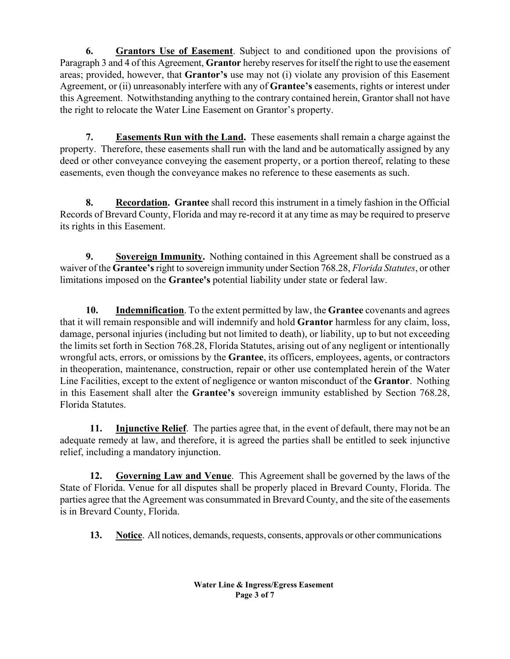**6. Grantors Use of Easement**. Subject to and conditioned upon the provisions of Paragraph 3 and 4 of this Agreement, **Grantor** hereby reserves for itself the right to use the easement areas; provided, however, that **Grantor's** use may not (i) violate any provision of this Easement Agreement, or (ii) unreasonably interfere with any of **Grantee's** easements, rights or interest under this Agreement. Notwithstanding anything to the contrary contained herein, Grantor shall not have the right to relocate the Water Line Easement on Grantor's property.

 **7. Easements Run with the Land.** These easements shall remain a charge against the property. Therefore, these easements shall run with the land and be automatically assigned by any deed or other conveyance conveying the easement property, or a portion thereof, relating to these easements, even though the conveyance makes no reference to these easements as such.

 **8. Recordation. Grantee** shall record this instrument in a timely fashion in the Official Records of Brevard County, Florida and may re-record it at any time as may be required to preserve its rights in this Easement.

**9.** Sovereign Immunity. Nothing contained in this Agreement shall be construed as a waiver of the **Grantee's** right to sovereign immunity under Section 768.28, *Florida Statutes*, or other limitations imposed on the **Grantee's** potential liability under state or federal law.

 **10. Indemnification**. To the extent permitted by law, the **Grantee** covenants and agrees that it will remain responsible and will indemnify and hold **Grantor** harmless for any claim, loss, damage, personal injuries (including but not limited to death), or liability, up to but not exceeding the limits set forth in Section 768.28, Florida Statutes, arising out of any negligent or intentionally wrongful acts, errors, or omissions by the **Grantee**, its officers, employees, agents, or contractors in the operation, maintenance, construction, repair or other use contemplated herein of the Water Line Facilities, except to the extent of negligence or wanton misconduct of the **Grantor**.Nothing in this Easement shall alter the **Grantee's** sovereign immunity established by Section 768.28, Florida Statutes.

**11. Injunctive Relief**. The parties agree that, in the event of default, there may not be an adequate remedy at law, and therefore, it is agreed the parties shall be entitled to seek injunctive relief, including a mandatory injunction.

**12. Governing Law and Venue**. This Agreement shall be governed by the laws of the State of Florida. Venue for all disputes shall be properly placed in Brevard County, Florida. The parties agree that the Agreement was consummated in Brevard County, and the site of the easements is in Brevard County, Florida.

**13. Notice**. All notices, demands, requests, consents, approvals or other communications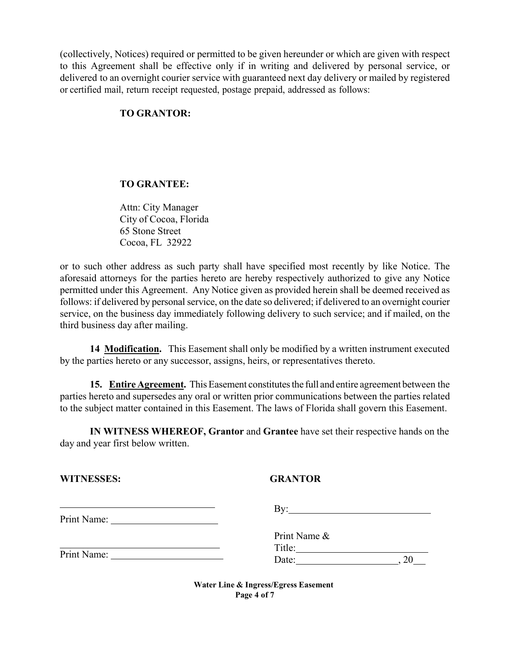(collectively, Notices) required or permitted to be given hereunder or which are given with respect to this Agreement shall be effective only if in writing and delivered by personal service, or delivered to an overnight courier service with guaranteed next day delivery or mailed by registered or certified mail, return receipt requested, postage prepaid, addressed as follows:

### **TO GRANTOR:**

### **TO GRANTEE:**

Attn: City Manager City of Cocoa, Florida 65 Stone Street Cocoa, FL 32922

or to such other address as such party shall have specified most recently by like Notice. The aforesaid attorneys for the parties hereto are hereby respectively authorized to give any Notice permitted under this Agreement. Any Notice given as provided herein shall be deemed received as follows: if delivered by personal service, on the date so delivered; if delivered to an overnight courier service, on the business day immediately following delivery to such service; and if mailed, on the third business day after mailing.

**14 Modification.** This Easement shall only be modified by a written instrument executed by the parties hereto or any successor, assigns, heirs, or representatives thereto.

**15. Entire Agreement.** This Easement constitutes the full and entire agreement between the parties hereto and supersedes any oral or written prior communications between the parties related to the subject matter contained in this Easement. The laws of Florida shall govern this Easement.

**IN WITNESS WHEREOF, Grantor** and **Grantee** have set their respective hands on the day and year first below written.

| <b>WITNESSES:</b> |
|-------------------|
|-------------------|

## **GRANTOR**

|             | Bv:          |  |
|-------------|--------------|--|
| Print Name: |              |  |
|             | Print Name & |  |
|             | Title:       |  |
| Print Name: | Date:        |  |

**Water Line & Ingress/Egress Easement Page 4 of 7**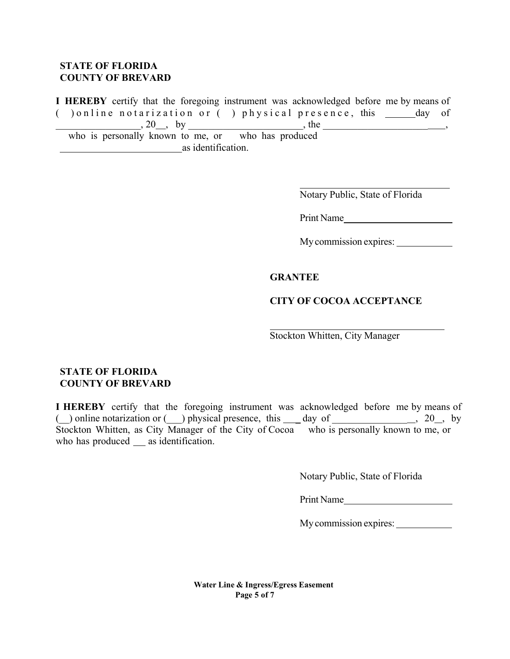#### **STATE OF FLORIDA COUNTY OF BREVARD**

**I HEREBY** certify that the foregoing instrument was acknowledged before me by means of ( $\Box$ ) online notarization or ( $\Box$ ) physical presence, this  $\Box$  day of  $, 20 \_$ , by , the  $, 20 \_$ , by who is personally known to me, or who has produced

as identification.

Notary Public, State of Florida

Print Name

My commission expires:

#### **GRANTEE**

#### **CITY OF COCOA ACCEPTANCE**

Stockton Whitten, City Manager

#### **STATE OF FLORIDA COUNTY OF BREVARD**

**I HEREBY** certify that the foregoing instrument was acknowledged before me by means of ( $\Box$ ) online notarization or  $\Box$ ) physical presence, this  $\Box$  day of  $\Box$   $\Box$ , 20, by Stockton Whitten, as City Manager of the City of Cocoa who is personally known to me, or who has produced as identification.

Notary Public, State of Florida

Print Name

My commission expires:

**Water Line & Ingress/Egress Easement Page 5 of 7**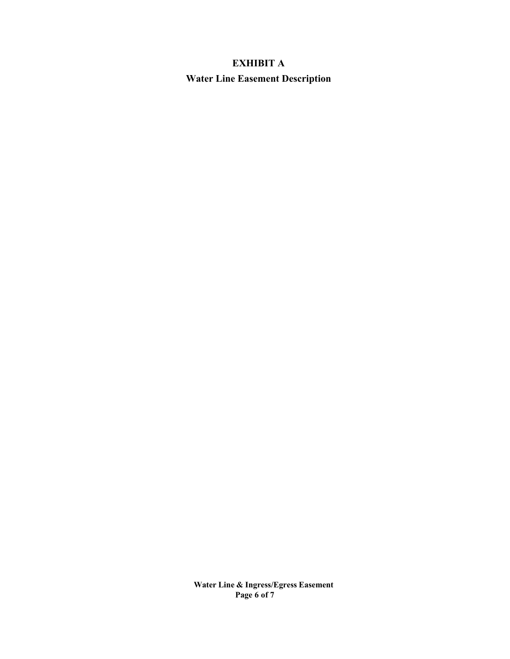# **EXHIBIT A Water Line Easement Description**

**Water Line & Ingress/Egress Easement Page 6 of 7**